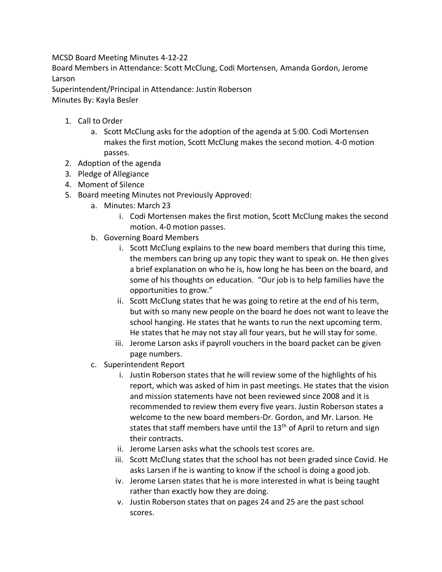MCSD Board Meeting Minutes 4-12-22

Board Members in Attendance: Scott McClung, Codi Mortensen, Amanda Gordon, Jerome Larson

Superintendent/Principal in Attendance: Justin Roberson

Minutes By: Kayla Besler

- 1. Call to Order
	- a. Scott McClung asks for the adoption of the agenda at 5:00. Codi Mortensen makes the first motion, Scott McClung makes the second motion. 4-0 motion passes.
- 2. Adoption of the agenda
- 3. Pledge of Allegiance
- 4. Moment of Silence
- 5. Board meeting Minutes not Previously Approved:
	- a. Minutes: March 23
		- i. Codi Mortensen makes the first motion, Scott McClung makes the second motion. 4-0 motion passes.
	- b. Governing Board Members
		- i. Scott McClung explains to the new board members that during this time, the members can bring up any topic they want to speak on. He then gives a brief explanation on who he is, how long he has been on the board, and some of his thoughts on education. "Our job is to help families have the opportunities to grow."
		- ii. Scott McClung states that he was going to retire at the end of his term, but with so many new people on the board he does not want to leave the school hanging. He states that he wants to run the next upcoming term. He states that he may not stay all four years, but he will stay for some.
		- iii. Jerome Larson asks if payroll vouchers in the board packet can be given page numbers.
	- c. Superintendent Report
		- i. Justin Roberson states that he will review some of the highlights of his report, which was asked of him in past meetings. He states that the vision and mission statements have not been reviewed since 2008 and it is recommended to review them every five years. Justin Roberson states a welcome to the new board members-Dr. Gordon, and Mr. Larson. He states that staff members have until the  $13<sup>th</sup>$  of April to return and sign their contracts.
		- ii. Jerome Larsen asks what the schools test scores are.
		- iii. Scott McClung states that the school has not been graded since Covid. He asks Larsen if he is wanting to know if the school is doing a good job.
		- iv. Jerome Larsen states that he is more interested in what is being taught rather than exactly how they are doing.
		- v. Justin Roberson states that on pages 24 and 25 are the past school scores.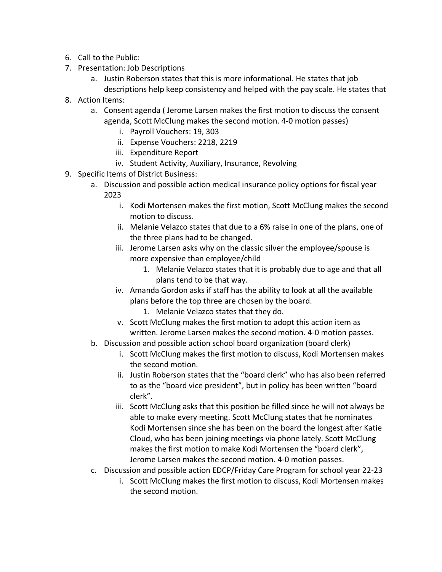- 6. Call to the Public:
- 7. Presentation: Job Descriptions
	- a. Justin Roberson states that this is more informational. He states that job descriptions help keep consistency and helped with the pay scale. He states that
- 8. Action Items:
	- a. Consent agenda ( Jerome Larsen makes the first motion to discuss the consent agenda, Scott McClung makes the second motion. 4-0 motion passes)
		- i. Payroll Vouchers: 19, 303
		- ii. Expense Vouchers: 2218, 2219
		- iii. Expenditure Report
		- iv. Student Activity, Auxiliary, Insurance, Revolving
- 9. Specific Items of District Business:
	- a. Discussion and possible action medical insurance policy options for fiscal year 2023
		- i. Kodi Mortensen makes the first motion, Scott McClung makes the second motion to discuss.
		- ii. Melanie Velazco states that due to a 6% raise in one of the plans, one of the three plans had to be changed.
		- iii. Jerome Larsen asks why on the classic silver the employee/spouse is more expensive than employee/child
			- 1. Melanie Velazco states that it is probably due to age and that all plans tend to be that way.
		- iv. Amanda Gordon asks if staff has the ability to look at all the available plans before the top three are chosen by the board.
			- 1. Melanie Velazco states that they do.
		- v. Scott McClung makes the first motion to adopt this action item as written. Jerome Larsen makes the second motion. 4-0 motion passes.
	- b. Discussion and possible action school board organization (board clerk)
		- i. Scott McClung makes the first motion to discuss, Kodi Mortensen makes the second motion.
		- ii. Justin Roberson states that the "board clerk" who has also been referred to as the "board vice president", but in policy has been written "board clerk".
		- iii. Scott McClung asks that this position be filled since he will not always be able to make every meeting. Scott McClung states that he nominates Kodi Mortensen since she has been on the board the longest after Katie Cloud, who has been joining meetings via phone lately. Scott McClung makes the first motion to make Kodi Mortensen the "board clerk", Jerome Larsen makes the second motion. 4-0 motion passes.
	- c. Discussion and possible action EDCP/Friday Care Program for school year 22-23
		- i. Scott McClung makes the first motion to discuss, Kodi Mortensen makes the second motion.